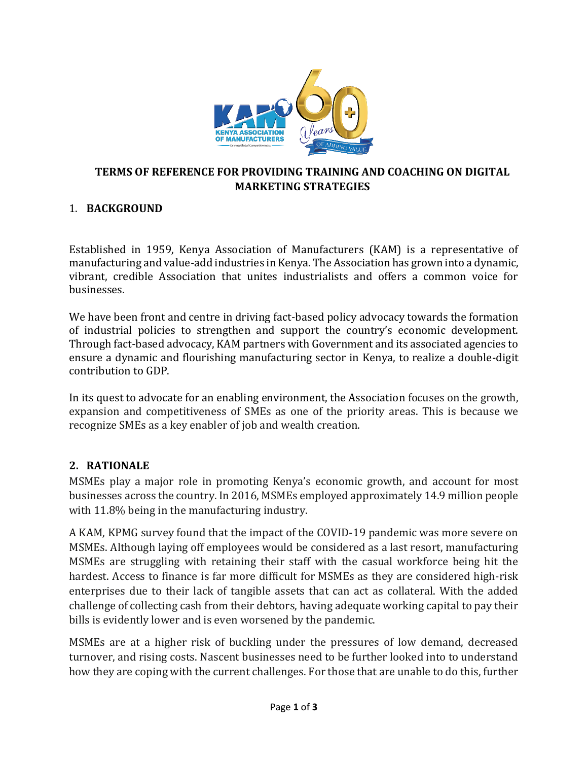

#### **TERMS OF REFERENCE FOR PROVIDING TRAINING AND COACHING ON DIGITAL MARKETING STRATEGIES**

### 1. **BACKGROUND**

Established in 1959, Kenya Association of Manufacturers (KAM) is a representative of manufacturing and value-add industries in Kenya. The Association has grown into a dynamic, vibrant, credible Association that unites industrialists and offers a common voice for businesses.

We have been front and centre in driving fact-based policy advocacy towards the formation of industrial policies to strengthen and support the country's economic development. Through fact-based advocacy, KAM partners with Government and its associated agencies to ensure a dynamic and flourishing manufacturing sector in Kenya, to realize a double-digit contribution to GDP.

In its quest to advocate for an enabling environment, the Association focuses on the growth, expansion and competitiveness of SMEs as one of the priority areas. This is because we recognize SMEs as a key enabler of job and wealth creation.

#### **2. RATIONALE**

MSMEs play a major role in promoting Kenya's economic growth, and account for most businesses across the country. In 2016, MSMEs employed approximately 14.9 million people with 11.8% being in the manufacturing industry.

A KAM, KPMG survey found that the impact of the COVID-19 pandemic was more severe on MSMEs. Although laying off employees would be considered as a last resort, manufacturing MSMEs are struggling with retaining their staff with the casual workforce being hit the hardest. Access to finance is far more difficult for MSMEs as they are considered high-risk enterprises due to their lack of tangible assets that can act as collateral. With the added challenge of collecting cash from their debtors, having adequate working capital to pay their bills is evidently lower and is even worsened by the pandemic.

MSMEs are at a higher risk of buckling under the pressures of low demand, decreased turnover, and rising costs. Nascent businesses need to be further looked into to understand how they are coping with the current challenges. For those that are unable to do this, further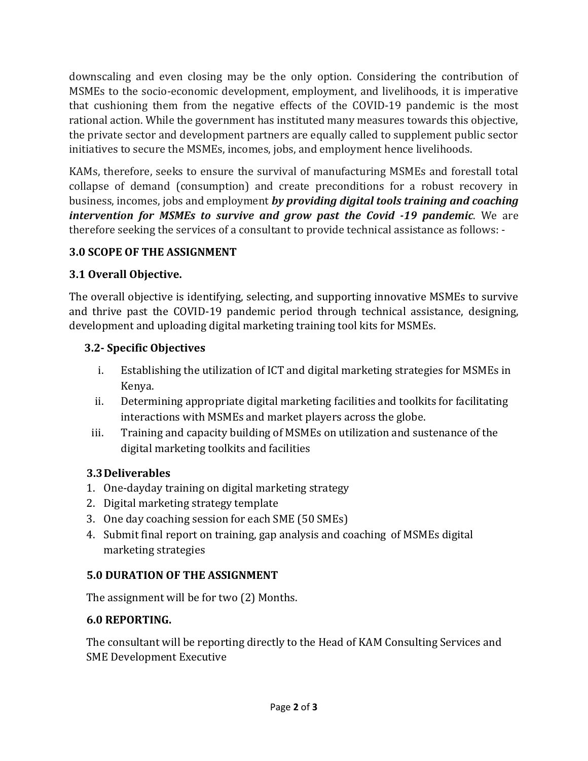downscaling and even closing may be the only option. Considering the contribution of MSMEs to the socio-economic development, employment, and livelihoods, it is imperative that cushioning them from the negative effects of the COVID-19 pandemic is the most rational action. While the government has instituted many measures towards this objective, the private sector and development partners are equally called to supplement public sector initiatives to secure the MSMEs, incomes, jobs, and employment hence livelihoods.

KAMs, therefore, seeks to ensure the survival of manufacturing MSMEs and forestall total collapse of demand (consumption) and create preconditions for a robust recovery in business, incomes, jobs and employment *by providing digital tools training and coaching intervention for MSMEs to survive and grow past the Covid -19 pandemic*. We are therefore seeking the services of a consultant to provide technical assistance as follows: -

### **3.0 SCOPE OF THE ASSIGNMENT**

# **3.1 Overall Objective.**

The overall objective is identifying, selecting, and supporting innovative MSMEs to survive and thrive past the COVID-19 pandemic period through technical assistance, designing, development and uploading digital marketing training tool kits for MSMEs.

## **3.2- Specific Objectives**

- i. Establishing the utilization of ICT and digital marketing strategies for MSMEs in Kenya.
- ii. Determining appropriate digital marketing facilities and toolkits for facilitating interactions with MSMEs and market players across the globe.
- iii. Training and capacity building of MSMEs on utilization and sustenance of the digital marketing toolkits and facilities

### **3.3Deliverables**

- 1. One-dayday training on digital marketing strategy
- 2. Digital marketing strategy template
- 3. One day coaching session for each SME (50 SMEs)
- 4. Submit final report on training, gap analysis and coaching of MSMEs digital marketing strategies

### **5.0 DURATION OF THE ASSIGNMENT**

The assignment will be for two (2) Months.

### **6.0 REPORTING.**

The consultant will be reporting directly to the Head of KAM Consulting Services and SME Development Executive